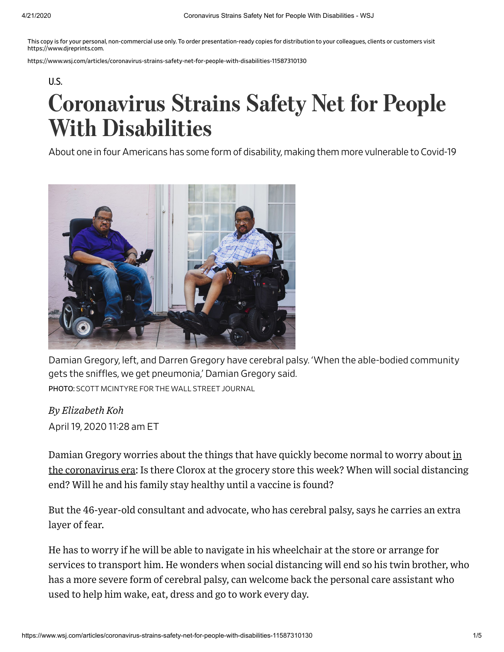This copy is for your personal, non-commercial use only. To order presentation-ready copies for distribution to your colleagues, clients or customers visit https://www.djreprints.com.

https://www.wsj.com/articles/coronavirus-strains-safety-net-for-people-with-disabilities-11587310130

[U.S.](https://www.wsj.com/news/us?mod=breadcrumb)

## Coronavirus Strains Safety Net for People With Disabilities

About one in four Americans has some form of disability, making them more vulnerable to Covid-19



Damian Gregory, left, and Darren Gregory have cerebral palsy. 'When the able-bodied community gets the snifles, we get pneumonia,' Damian Gregory said. PHOTO: SCOTT MCINTYRE FOR THE WALL STREET JOURNAL

*By Elizabeth Koh*

April 19, 2020 1128 am ET

Damian Gregory worries about the things that have quickly become normal to worry about in the [coronavirus](https://www.wsj.com/livecoverage/coronavirus-2020-04-16?mod=theme_coronavirus-ribbon&mod=article_inline) era: Is there Clorox at the grocery store this week? When will social distancing end? Will he and his family stay healthy until a vaccine is found?

But the 46-year-old consultant and advocate, who has cerebral palsy, says he carries an extra layer of fear.

He has to worry if he will be able to navigate in his wheelchair at the store or arrange for services to transport him. He wonders when social distancing will end so his twin brother, who has a more severe form of cerebral palsy, can welcome back the personal care assistant who used to help him wake, eat, dress and go to work every day.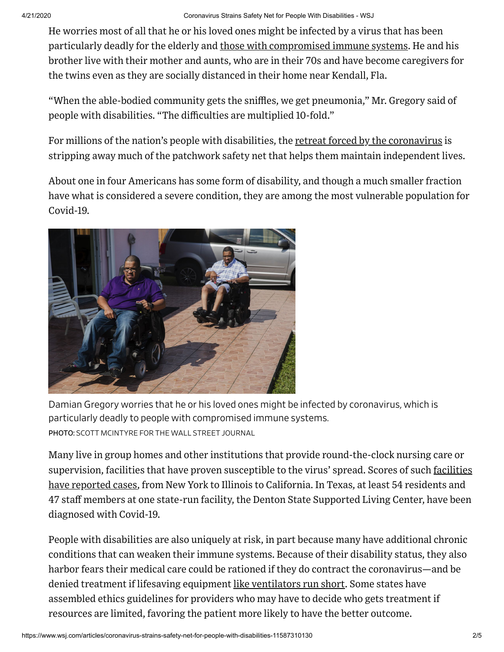He worries most of all that he or his loved ones might be infected by a virus that has been particularly deadly for the elderly and those with [compromised](https://www.wsj.com/articles/u-s-coronavirus-patients-with-other-conditions-hospitalized-at-higher-rates-11585689057?mod=article_inline) immune systems. He and his brother live with their mother and aunts, who are in their 70s and have become caregivers for the twins even as they are socially distanced in their home near Kendall, Fla.

"When the able-bodied community gets the sniffles, we get pneumonia," Mr. Gregory said of people with disabilities. "The difficulties are multiplied 10-fold."

For millions of the nation's people with disabilities, the retreat forced by the [coronavirus](https://www.wsj.com/articles/a-state-by-state-guide-to-coronavirus-lockdowns-11584749351?mod=article_inline) is stripping away much of the patchwork safety net that helps them maintain independent lives.

About one in four Americans has some form of disability, and though a much smaller fraction have what is considered a severe condition, they are among the most vulnerable population for Covid-19.



Damian Gregory worries that he or his loved ones might be infected by coronavirus, which is particularly deadly to people with compromised immune systems. PHOTO: SCOTT MCINTYRE FOR THE WALL STREET JOURNAL

Many live in group homes and other institutions that provide round-the-clock nursing care or [supervision,](https://www.wsj.com/articles/coronavirus-strikes-at-least-2-100-nursing-homes-across-u-s-killing-2-000-residents-11586554096?mod=article_inline) facilities that have proven susceptible to the virus' spread. Scores of such <u>facilities</u> have reported cases, from New York to Illinois to California. In Texas, at least 54 residents and 47 staff members at one state-run facility, the Denton State Supported Living Center, have been diagnosed with Covid-19.

People with disabilities are also uniquely at risk, in part because many have additional chronic conditions that can weaken their immune systems. Because of their disability status, they also harbor fears their medical care could be rationed if they do contract the coronavirus—and be denied treatment if lifesaving equipment like [ventilators](https://www.wsj.com/articles/as-coronavirus-hospitalizations-surge-ventilator-manufacturing-ramps-up-but-not-soon-enough-11586017650?mod=article_inline) run short. Some states have assembled ethics guidelines for providers who may have to decide who gets treatment if resources are limited, favoring the patient more likely to have the better outcome.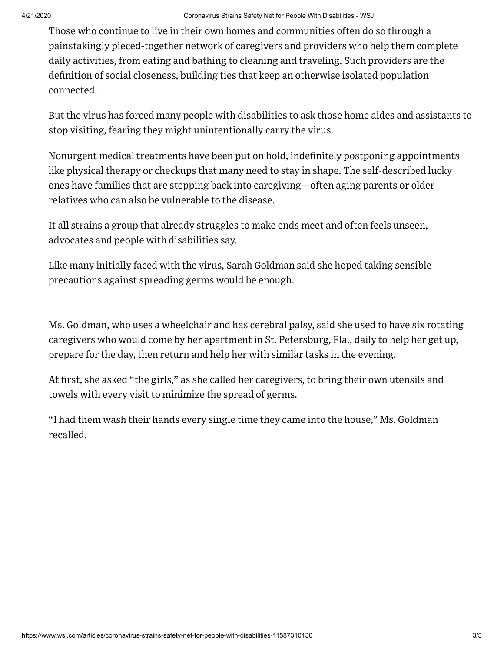Those who continue to live in their own homes and communities often do so through a painstakingly pieced-together network of caregivers and providers who help them complete daily activities, from eating and bathing to cleaning and traveling. Such providers are the definition of social closeness, building ties that keep an otherwise isolated population connected.

But the virus has forced many people with disabilities to ask those home aides and assistants to stop visiting, fearing they might unintentionally carry the virus.

Nonurgent medical treatments have been put on hold, indefinitely postponing appointments like physical therapy or checkups that many need to stay in shape. The self-described lucky ones have families that are stepping back into caregiving—often aging parents or older relatives who can also be vulnerable to the disease.

It all strains a group that already struggles to make ends meet and often feels unseen, advocates and people with disabilities say.

Like many initially faced with the virus, Sarah Goldman said she hoped taking sensible precautions against spreading germs would be enough.

Ms. Goldman, who uses a wheelchair and has cerebral palsy, said she used to have six rotating caregivers who would come by her apartment in St. Petersburg, Fla., daily to help her get up, prepare for the day, then return and help her with similar tasks in the evening.

At first, she asked "the girls," as she called her caregivers, to bring their own utensils and towels with every visit to minimize the spread of germs.

"I had them wash their hands every single time they came into the house," Ms. Goldman recalled.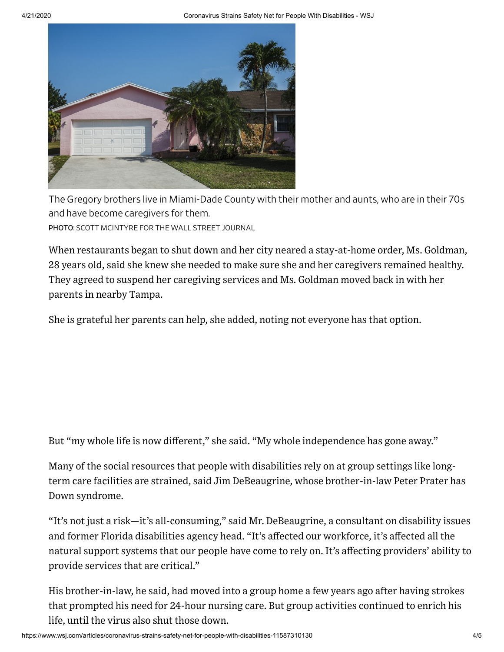

The Gregory brothers live in Miami-Dade County with their mother and aunts, who are in their 70s and have become caregivers for them.

PHOTO: SCOTT MCINTYRE FOR THE WALL STREET JOURNAL

When restaurants began to shut down and her city neared a stay-at-home order, Ms. Goldman, 28 years old, said she knew she needed to make sure she and her caregivers remained healthy. They agreed to suspend her caregiving services and Ms. Goldman moved back in with her parents in nearby Tampa.

She is grateful her parents can help, she added, noting not everyone has that option.

But "my whole life is now different," she said. "My whole independence has gone away."

Many of the social resources that people with disabilities rely on at group settings like longterm care facilities are strained, said Jim DeBeaugrine, whose brother-in-law Peter Prater has Down syndrome.

"It's not just a risk—it's all-consuming," said Mr. DeBeaugrine, a consultant on disability issues and former Florida disabilities agency head. "It's affected our workforce, it's affected all the natural support systems that our people have come to rely on. It's affecting providers' ability to provide services that are critical."

His brother-in-law, he said, had moved into a group home a few years ago after having strokes that prompted his need for 24-hour nursing care. But group activities continued to enrich his life, until the virus also shut those down.